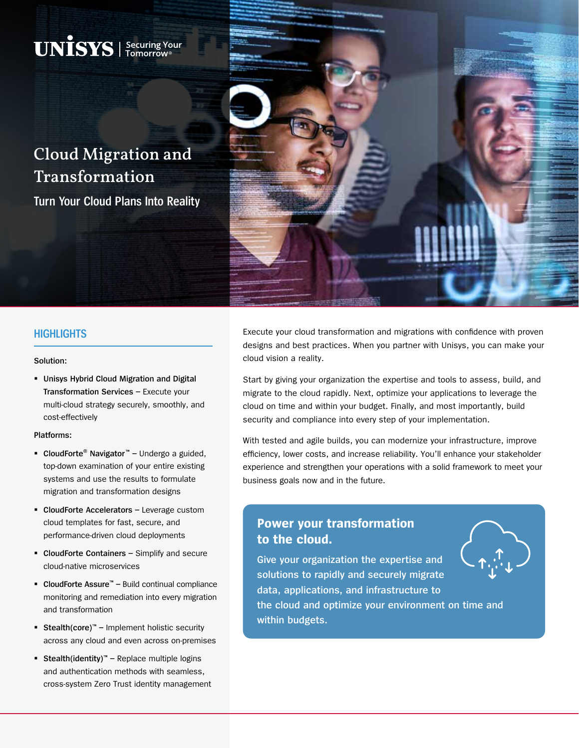# Cloud Migration and Transformation

 $\mathbf{UNISS}$  | Securing Your

**Turn Your Cloud Plans Into Reality**



#### **HIGHLIGHTS**

#### **Solution:**

 **Unisys Hybrid Cloud Migration and Digital Transformation Services –** Execute your multi-cloud strategy securely, smoothly, and cost-effectively

#### **Platforms:**

- **CloudForte**® **Navigator**™Undergo a guided, top-down examination of your entire existing systems and use the results to formulate migration and transformation designs
- **CloudForte Accelerators** Leverage custom cloud templates for fast, secure, and performance-driven cloud deployments
- **CloudForte Containers** Simplify and secure cloud-native microservices
- **CloudForte Assure**™Build continual compliance monitoring and remediation into every migration and transformation
- Stealth(core)<sup>™</sup> Implement holistic security across any cloud and even across on-premises
- Stealth(identity)<sup>™</sup> Replace multiple logins and authentication methods with seamless, cross-system Zero Trust identity management

Execute your cloud transformation and migrations with confidence with proven designs and best practices. When you partner with Unisys, you can make your cloud vision a reality.

Start by giving your organization the expertise and tools to assess, build, and migrate to the cloud rapidly. Next, optimize your applications to leverage the cloud on time and within your budget. Finally, and most importantly, build security and compliance into every step of your implementation.

With tested and agile builds, you can modernize your infrastructure, improve efficiency, lower costs, and increase reliability. You'll enhance your stakeholder experience and strengthen your operations with a solid framework to meet your business goals now and in the future.

## **Power your transformation to the cloud.**

**Give your organization the expertise and solutions to rapidly and securely migrate data, applications, and infrastructure to the cloud and optimize your environment on time and within budgets.**